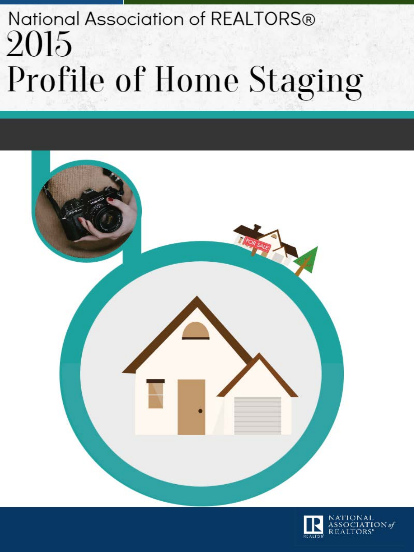

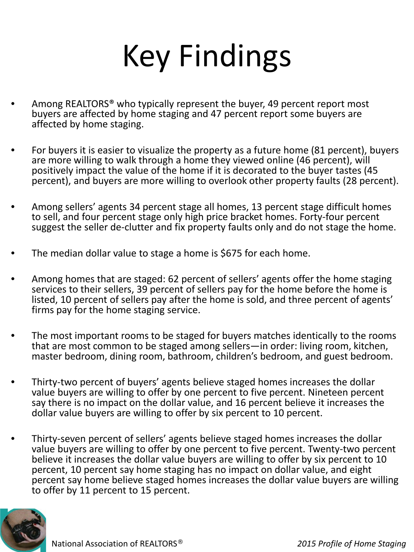## Key Findings

- Among REALTORS<sup>®</sup> who typically represent the buyer, 49 percent report most buyers are affected by home staging and 47 percent report some buyers are affected by home staging.
- For buyers it is easier to visualize the property as a future home (81 percent), buyers are more willing to walk through a home they viewed online (46 percent), will positively impact the value of the home if it is decorated to the buyer tastes (45 percent), and buyers are more willing to overlook other property faults (28 percent).
- Among sellers' agents 34 percent stage all homes, 13 percent stage difficult homes to sell, and four percent stage only high price bracket homes. Forty-four percent suggest the seller de-clutter and fix property faults only and do not stage the home.
- The median dollar value to stage a home is \$675 for each home.
- Among homes that are staged: 62 percent of sellers' agents offer the home staging services to their sellers, 39 percent of sellers pay for the home before the home is listed, 10 percent of sellers pay after the home is sold, and three percent of agents' firms pay for the home staging service.
- The most important rooms to be staged for buyers matches identically to the rooms that are most common to be staged among sellers—in order: living room, kitchen, master bedroom, dining room, bathroom, children's bedroom, and guest bedroom.
- Thirty-two percent of buyers' agents believe staged homes increases the dollar value buyers are willing to offer by one percent to five percent. Nineteen percent say there is no impact on the dollar value, and 16 percent believe it increases the dollar value buyers are willing to offer by six percent to 10 percent.
- Thirty-seven percent of sellers' agents believe staged homes increases the dollar value buyers are willing to offer by one percent to five percent. Twenty-two percent believe it increases the dollar value buyers are willing to offer by six percent to 10 percent, 10 percent say home staging has no impact on dollar value, and eight percent say home believe staged homes increases the dollar value buyers are willing to offer by 11 percent to 15 percent.

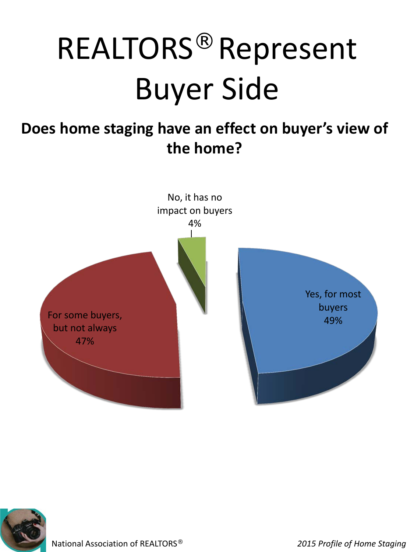#### **Does home staging have an effect on buyer's view of the home?**



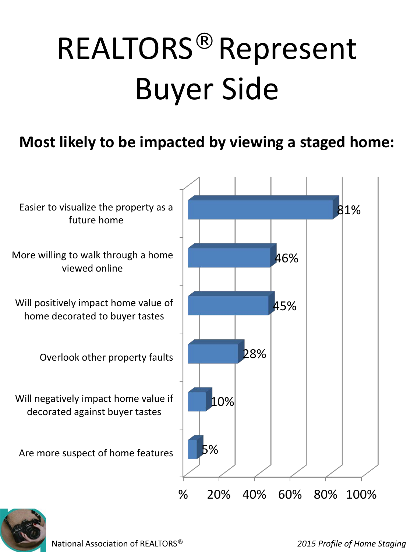#### **Most likely to be impacted by viewing a staged home:**



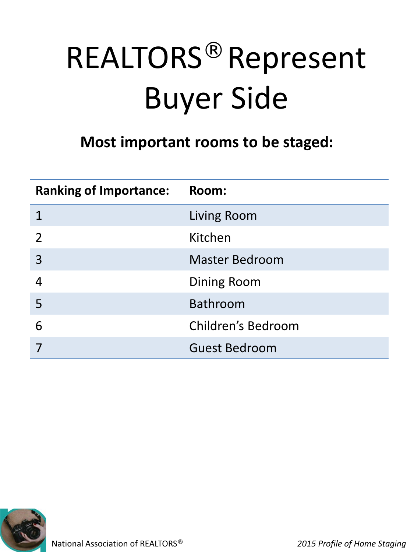#### **Most important rooms to be staged:**

| <b>Ranking of Importance:</b> | Room:                 |
|-------------------------------|-----------------------|
|                               | Living Room           |
|                               | Kitchen               |
| 3                             | <b>Master Bedroom</b> |
|                               | <b>Dining Room</b>    |
| 5                             | <b>Bathroom</b>       |
| 6                             | Children's Bedroom    |
|                               | <b>Guest Bedroom</b>  |

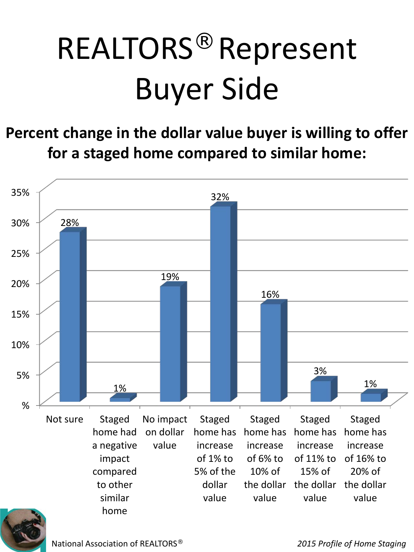**Percent change in the dollar value buyer is willing to offer for a staged home compared to similar home:**



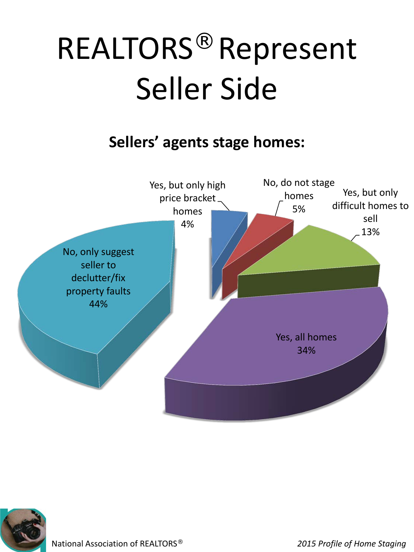#### **Sellers' agents stage homes:**



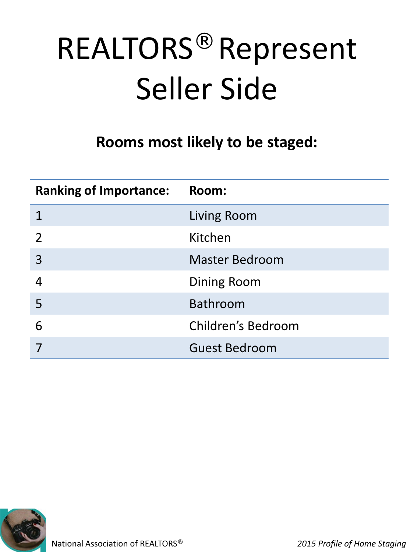#### **Rooms most likely to be staged:**

| <b>Ranking of Importance:</b> | Room:                 |
|-------------------------------|-----------------------|
|                               | Living Room           |
| $\overline{2}$                | Kitchen               |
| 3                             | <b>Master Bedroom</b> |
|                               | <b>Dining Room</b>    |
| 5                             | <b>Bathroom</b>       |
| 6                             | Children's Bedroom    |
|                               | <b>Guest Bedroom</b>  |

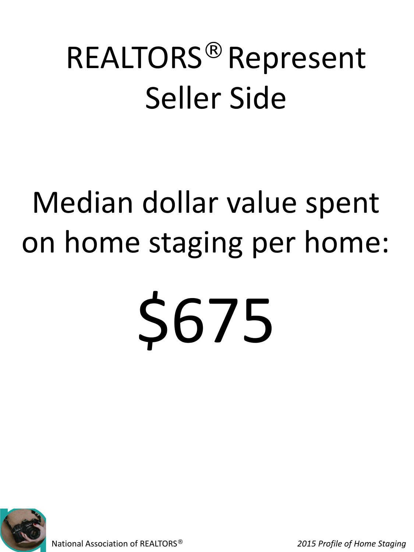## Median dollar value spent on home staging per home:

# S675

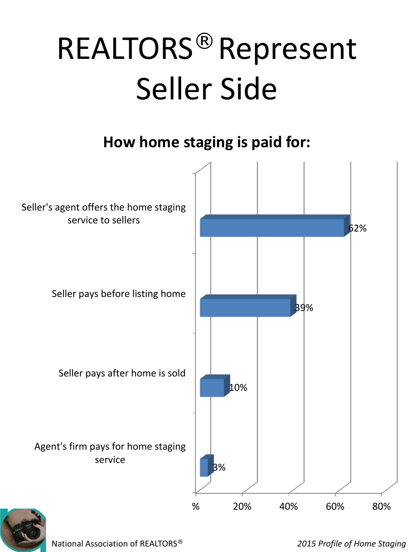#### **How home staging is paid for:**



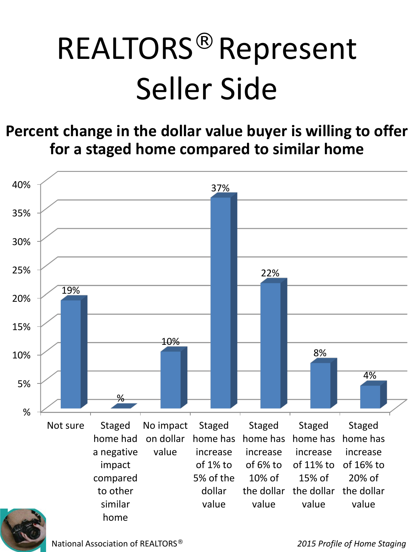**Percent change in the dollar value buyer is willing to offer for a staged home compared to similar home**